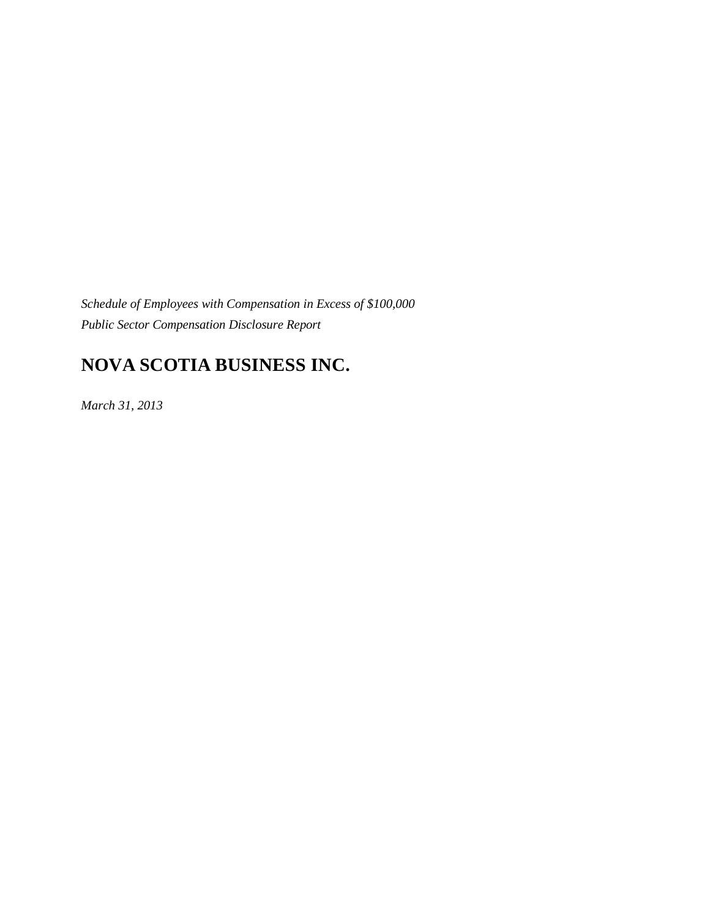*Schedule of Employees with Compensation in Excess of \$100,000 Public Sector Compensation Disclosure Report*

# **NOVA SCOTIA BUSINESS INC.**

*March 31, 2013*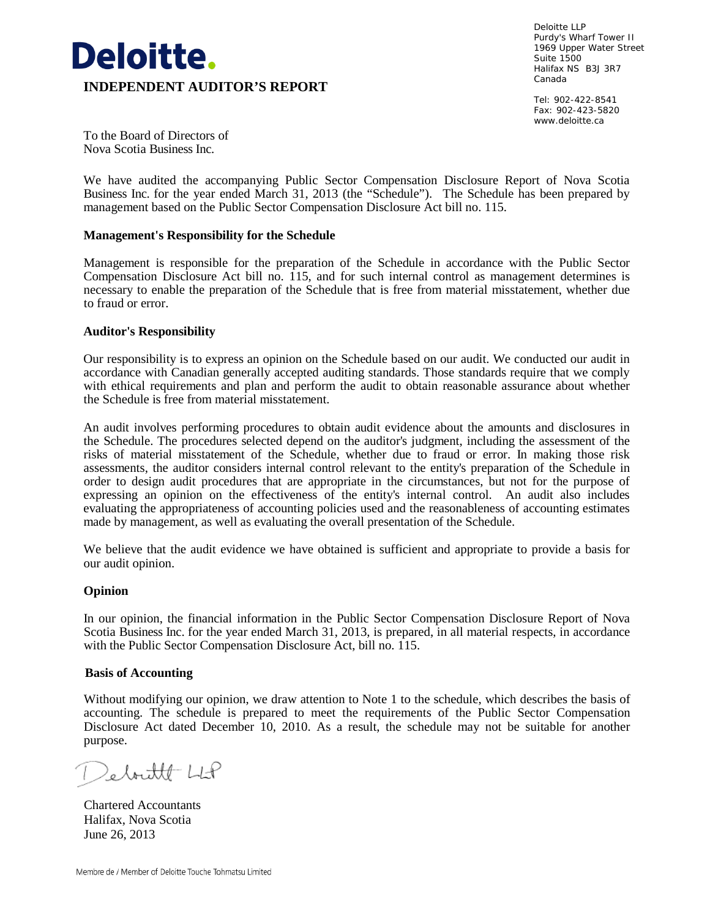

Deloitte LLP Purdy's Wharf Tower II 1969 Upper Water Street Suite 1500 Halifax NS B3J 3R7 Canada

Tel: 902-422-8541 Fax: 902-423-5820 www.deloitte.ca

To the Board of Directors of Nova Scotia Business Inc.

We have audited the accompanying Public Sector Compensation Disclosure Report of Nova Scotia Business Inc. for the year ended March 31, 2013 (the "Schedule"). The Schedule has been prepared by management based on the Public Sector Compensation Disclosure Act bill no. 115.

### **Management's Responsibility for the Schedule**

Management is responsible for the preparation of the Schedule in accordance with the Public Sector Compensation Disclosure Act bill no. 115, and for such internal control as management determines is necessary to enable the preparation of the Schedule that is free from material misstatement, whether due to fraud or error.

### **Auditor's Responsibility**

Our responsibility is to express an opinion on the Schedule based on our audit. We conducted our audit in accordance with Canadian generally accepted auditing standards. Those standards require that we comply with ethical requirements and plan and perform the audit to obtain reasonable assurance about whether the Schedule is free from material misstatement.

An audit involves performing procedures to obtain audit evidence about the amounts and disclosures in the Schedule. The procedures selected depend on the auditor's judgment, including the assessment of the risks of material misstatement of the Schedule, whether due to fraud or error. In making those risk assessments, the auditor considers internal control relevant to the entity's preparation of the Schedule in order to design audit procedures that are appropriate in the circumstances, but not for the purpose of expressing an opinion on the effectiveness of the entity's internal control. An audit also includes evaluating the appropriateness of accounting policies used and the reasonableness of accounting estimates made by management, as well as evaluating the overall presentation of the Schedule.

We believe that the audit evidence we have obtained is sufficient and appropriate to provide a basis for our audit opinion.

## **Opinion**

In our opinion, the financial information in the Public Sector Compensation Disclosure Report of Nova Scotia Business Inc. for the year ended March 31, 2013, is prepared, in all material respects, in accordance with the Public Sector Compensation Disclosure Act, bill no. 115.

### **Basis of Accounting**

Without modifying our opinion, we draw attention to Note 1 to the schedule, which describes the basis of accounting. The schedule is prepared to meet the requirements of the Public Sector Compensation Disclosure Act dated December 10, 2010. As a result, the schedule may not be suitable for another purpose.

Deboutt LLP

Chartered Accountants Halifax, Nova Scotia June 26, 2013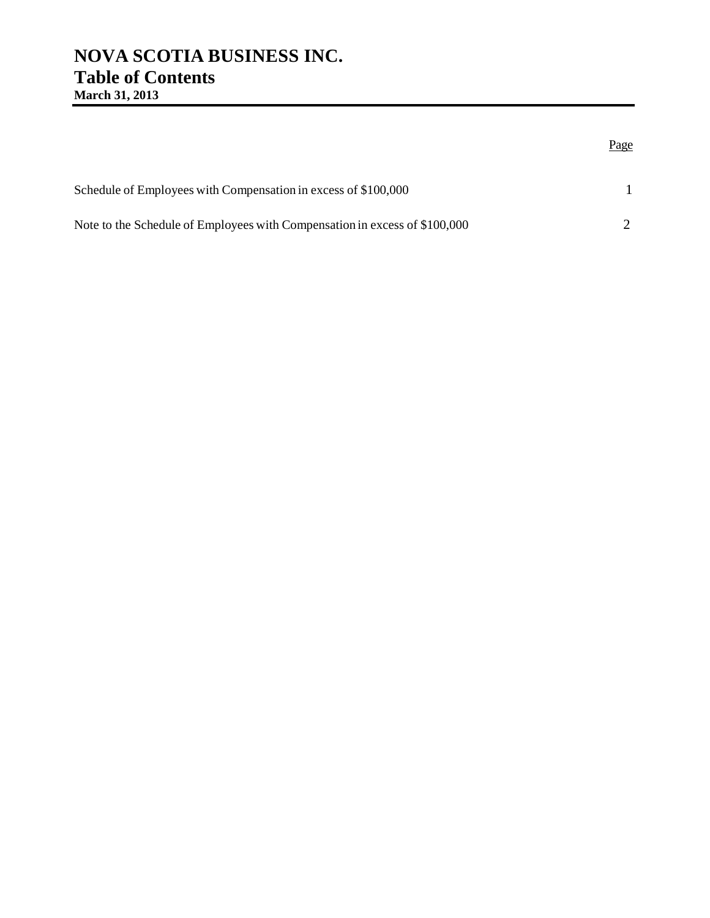## **NOVA SCOTIA BUSINESS INC. Table of Contents March 31, 2013**

## Page

| Schedule of Employees with Compensation in excess of \$100,000             |  |
|----------------------------------------------------------------------------|--|
| Note to the Schedule of Employees with Compensation in excess of \$100,000 |  |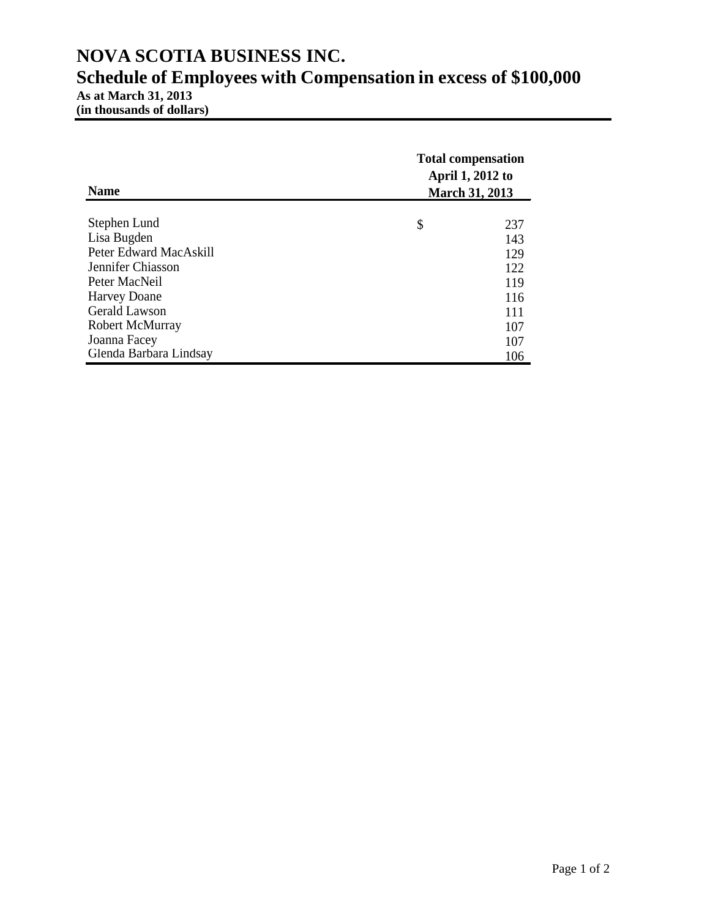## **NOVA SCOTIA BUSINESS INC. Schedule of Employees with Compensation in excess of \$100,000**

**As at March 31, 2013 (in thousands of dollars)**

| <b>Name</b>            | <b>Total compensation</b><br>April 1, 2012 to<br><b>March 31, 2013</b> |     |
|------------------------|------------------------------------------------------------------------|-----|
| Stephen Lund           | \$                                                                     | 237 |
| Lisa Bugden            |                                                                        | 143 |
| Peter Edward MacAskill |                                                                        | 129 |
| Jennifer Chiasson      |                                                                        | 122 |
| Peter MacNeil          |                                                                        | 119 |
| <b>Harvey Doane</b>    |                                                                        | 116 |
| <b>Gerald Lawson</b>   |                                                                        | 111 |
| Robert McMurray        |                                                                        | 107 |
| Joanna Facey           |                                                                        | 107 |
| Glenda Barbara Lindsay |                                                                        | 106 |